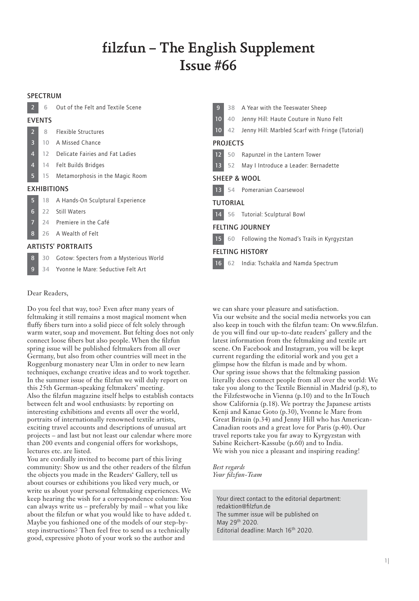# filzfun – The English Supplement Issue #66

## SPECTRUM

2 6 Out of the Felt and Textile Scene

### EVENTS

| $\blacktriangledown$ | Flexible Structures |  |  |
|----------------------|---------------------|--|--|
| R                    | 10 A Missed Chance  |  |  |

- 12 Delicate Fairies and Fat Ladies
- 4 14 Felt Builds Bridges
	- 5 15 Metamorphosis in the Magic Room

## EXHIBITIONS

| 5. |  |  | A Hands-On Sculptural Experience |
|----|--|--|----------------------------------|
|    |  |  |                                  |

- 6 22 Still Waters
- 24 Premiere in the Café
- 8 26 A Wealth of Felt

## ARTISTS' PORTRAITS

- 8 30 Gotow: Specters from a Mysterious World
- 9 34 Yvonne le Mare: Seductive Felt Art

## Dear Readers,

Do you feel that way, too? Even after many years of feltmaking it still remains a most magical moment when fluffy fibers turn into a solid piece of felt solely through warm water, soap and movement. But felting does not only connect loose fibers but also people. When the filzfun spring issue will be published feltmakers from all over Germany, but also from other countries will meet in the Roggenburg monastery near Ulm in order to new learn techniques, exchange creative ideas and to work together. In the summer issue of the filzfun we will duly report on this 25th German-speaking feltmakers' meeting. Also the filzfun magazine itself helps to establish contacts between felt and wool enthusiasts: by reporting on interesting exhibitions and events all over the world, portraits of internationally renowned textile artists, exciting travel accounts and descriptions of unusual art projects – and last but not least our calendar where more than 200 events and congenial offers for workshops, lectures etc. are listed.

You are cordially invited to become part of this living community: Show us and the other readers of the filzfun the objects you made in the Readers' Gallery, tell us about courses or exhibitions you liked very much, or write us about your personal feltmaking experiences. We keep hearing the wish for a correspondence column: You can always write us – preferably by mail – what you like about the filzfun or what you would like to have added t. Maybe you fashioned one of the models of our step-bystep instructions? Then feel free to send us a technically good, expressive photo of your work so the author and

| 9 <sup>°</sup>          |                 | 38 A Year with the Teeswater Sheep                  |  |  |
|-------------------------|-----------------|-----------------------------------------------------|--|--|
|                         |                 | 10 40 Jenny Hill: Haute Couture in Nuno Felt        |  |  |
| 10 <sup>°</sup>         |                 | 42 Jenny Hill: Marbled Scarf with Fringe (Tutorial) |  |  |
|                         | <b>PROJECTS</b> |                                                     |  |  |
|                         | $12 \quad 50$   | Rapunzel in the Lantern Tower                       |  |  |
|                         | $13 \mid 52$    | May I Introduce a Leader: Bernadette                |  |  |
| <b>SHEEP &amp; WOOL</b> |                 |                                                     |  |  |
|                         |                 | 13 54 Pomeranian Coarsewool                         |  |  |
|                         | <b>TUTORIAL</b> |                                                     |  |  |
|                         |                 | 14 56 Tutorial: Sculptural Bowl                     |  |  |
|                         |                 | <b>FELTING JOURNEY</b>                              |  |  |
|                         |                 | 15 60 Following the Nomad's Trails in Kyrgyzstan    |  |  |
|                         |                 | <b>FELTING HISTORY</b>                              |  |  |
|                         |                 | 16 62 India: Tschakla and Namda Spectrum            |  |  |
|                         |                 |                                                     |  |  |

we can share your pleasure and satisfaction. Via our website and the social media networks you can also keep in touch with the filzfun team: On www.filzfun. de you will find our up-to-date readers' gallery and the latest information from the feltmaking and textile art scene. On Facebook and Instagram, you will be kept current regarding the editorial work and you get a glimpse how the filzfun is made and by whom. Our spring issue shows that the feltmaking passion literally does connect people from all over the world: We take you along to the Textile Biennial in Madrid (p.8), to the Filzfestwoche in Vienna (p.10) and to the InTouch show California (p.18). We portray the Japanese artists Kenji and Kanae Goto (p.30), Yvonne le Mare from Great Britain (p.34) and Jenny Hill who has American-Canadian roots and a great love for Paris (p.40). Our travel reports take you far away to Kyrgyzstan with Sabine Reichert-Kassube (p.60) and to India. We wish you nice a pleasant and inspiring reading!

*Best regards Your filzfun-Team*

Your direct contact to the editorial department: redaktion@filzfun.de The summer issue will be published on May 29th 2020. Editorial deadline: March 16th 2020.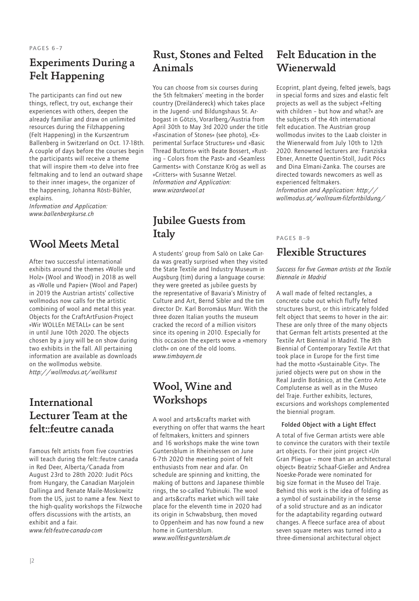## Experiments During a Felt Happening

The participants can find out new things, reflect, try out, exchange their experiences with others, deepen the already familiar and draw on unlimited resources during the Filzhappening (Felt Happening) in the Kurszentrum Ballenberg in Switzerland on Oct. 17-18th. A couple of days before the courses begin the participants will receive a theme that will inspire them »to delve into free feltmaking and to lend an outward shape to their inner images«, the organizer of the happening, Johanna Rösti-Bühler, explains.

*Information and Application: www.ballenbergkurse.ch*

## Wool Meets Metal

After two successful international exhibits around the themes »Wolle und Holz« (Wool and Wood) in 2018 as well as »Wolle und Papier« (Wool and Paper) in 2019 the Austrian artists' collective wollmodus now calls for the artistic combining of wool and metal this year. Objects for the CraftArtFusion-Project »Wir WOLLEn METALL« can be sent in until June 10th 2020. The objects chosen by a jury will be on show during two exhibits in the fall. All pertaining information are available as downloads on the wollmodus website. *http://wollmodus.at/wollkunst* 

## International Lecturer Team at the felt::feutre canada

Famous felt artists from five countries will teach during the felt::feutre canada in Red Deer, Alberta/Canada from August 23rd to 28th 2020: Judit Pócs from Hungary, the Canadian Marjolein Dallinga and Renate Maile-Moskowitz from the US, just to name a few. Next to the high-quality workshops the Filzwoche offers discussions with the artists, an exhibit and a fair. *www.felt-feutre-canada-com*

## Rust, Stones and Felted Animals

You can choose from six courses during the 5th feltmakers' meeting in the border country (Dreiländereck) which takes place in the Jugend- und Bildungshaus St. Arbogast in Götzis, Vorarlberg/Austria from April 30th to May 3rd 2020 under the title »Fascination of Stones« (see photo), »Experimental Surface Structures« und »Basic Thread Buttons« with Beate Bossert, »Rusting – Colors from the Past« and »Seamless Garments« with Constanze Krög as well as »Critters« with Susanne Wetzel. *Information and Application: www.wizardwool.at*

## Jubilee Guests from Italy

A students' group from Salò on Lake Garda was greatly surprised when they visited the State Textile and Industry Museum in Augsburg (tim) during a language course: they were greeted as jubilee guests by the representative of Bavaria's Ministry of Culture and Art, Bernd Sibler and the tim director Dr. Karl Borromäus Murr. With the three dozen Italian youths the museum cracked the record of a million visitors since its opening in 2010. Especially for this occasion the experts wove a »memory cloth« on one of the old looms. *www.timbayern.de*

## Wool, Wine and **Workshops**

A wool and arts&crafts market with everything on offer that warms the heart of feltmakers, knitters and spinners and 16 workshops make the wine town Guntersblum in Rheinhessen on June 6-7th 2020 the meeting point of felt enthusiasts from near and afar. On schedule are spinning and knitting, the making of buttons and Japanese thimble rings, the so-called Yubinuki. The wool and arts&crafts market which will take place for the eleventh time in 2020 had its origin in Schwabsburg, then moved to Oppenheim and has now found a new home in Guntersblum. *www.wollfest-guntersblum.de*

## Felt Education in the Wienerwald

Ecoprint, plant dyeing, felted jewels, bags in special forms and sizes and elastic felt projects as well as the subject »Felting with children – but how and what?« are the subjects of the 4th international felt education. The Austrian group wollmodus invites to the Laab cloister in the Wienerwald from July 10th to 12th 2020. Renowned lecturers are: Franziska Ebner, Annette Quentin-Stoll, Judit Pócs and Dina Elmani-Zanka. The courses are directed towards newcomers as well as experienced feltmakers.

*Information and Application: http:// wollmodus.at/wollraum-filzfortbildung/*

## PAGES 8–9

## Flexible Structures

## *Success for five German artists at the Textile Biennale in Madrid*

A wall made of felted rectangles, a concrete cube out which fluffy felted structures burst, or this intricately folded felt object that seems to hover in the air: These are only three of the many objects that German felt artists presented at the Textile Art Biennial in Madrid. The 8th Biennial of Contemporary Textile Art that took place in Europe for the first time had the motto »Sustainable City«. The juried objects were put on show in the Real Jardín Botánico, at the Centro Arte Complutense as well as in the Museo del Traje. Further exhibits, lectures, excursions and workshops complemented the biennial program.

## Folded Object with a Light Effect

A total of five German artists were able to convince the curators with their textile art objects. For their joint project »Un Gran Pliegue – more than an architectural object« Beatriz Schaaf-Gießer and Andrea Noeske-Porade were nominated for big size format in the Museo del Traje. Behind this work is the idea of folding as a symbol of sustainability in the sense of a solid structure and as an indicator for the adaptability regarding outward changes. A fleece surface area of about seven square meters was turned into a three-dimensional architectural object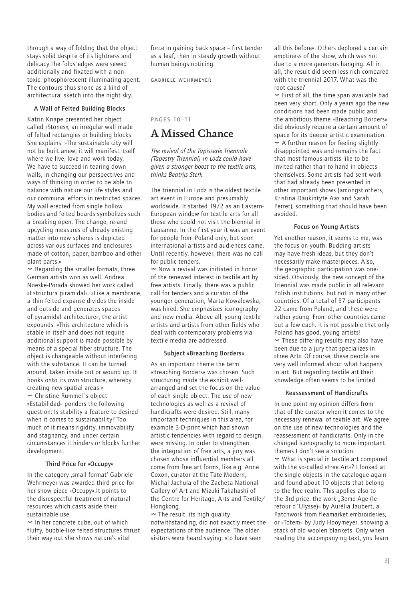through a way of folding that the object stays solid despite of its lightness and delicacy.The folds`edges were sewed additionally and fixated with a nontoxic, phosphorescent illuminating agent. The contours thus shone as a kind of architectural sketch into the night sky.

## A Wall of Felted Building Blocks

Katrin Knape presented her object called »Stones«, an irregular wall made of felted rectangles or building blocks. She explains: »The sustainable city will not be built anew; it will manifest itself where we live, love and work today. We have to succeed in tearing down walls, in changing our perspectives and ways of thinking in order to be able to balance with nature our life styles and our communal efforts in restricted spaces. My wall erected from single hollow bodies and felted boards symbolizes such a breaking open. The change, re-and upcycling measures of already existing matter into new spheres is depicted across various surfaces and enclosures made of cotton, paper, bamboo and other plant parts.«

Ø Regarding the smaller formats, three German artists won as well. Andrea Noeske-Porada showed her work called »Estructura piramidal«. »Like a membrane, a thin felted expanse divides the inside and outside and generates spaces of pyramidal architecture«, the artist expounds. »This architecture which is stable in itself and does not require additional support is made possible by means of a special fiber structure. The object is changeable without interfering with the substance. It can be turned around, taken inside out or wound up. It hooks onto its own structure, whereby creating new spatial areas.« Ø Christine Rummel`s object »Estabilidad« ponders the following question: Is stability a feature to desired when it comes to sustainability? Too much of it means rigidity, immovability and stagnancy, and under certain circumstances it hinders or blocks further development.

#### Third Price for »Occupy«

In the category 'small format' Gabriele Wehrmeyer was awarded third price for her show piece »Occupy«.It points to the disrespectful treatment of natural resources which casts aside their sustainable use.

Ø In her concrete cube, out of which fluffy, bubble-like felted structures thrust their way out she shows nature's vital

force in gaining back space – first tender as a leaf, then in steady growth without human beings noticing.

Gabriele Wehrmeyer

PAGES 10 –11

## A Missed Chance

*The revival of the Tapisserie Triennale (Tapestry Triennial) in Lodz could have given a stronger boost to the textile arts, thinks Beatrijs Sterk.*

The triennial in Lodz is the oldest textile art event in Europe and presumably worldwide. It started 1972 as an Eastern-European window for textile arts for all those who could not visit the biennial in Lausanne. In the first year it was an event for people from Poland only, but soon international artists and audiences came. Until recently, however, there was no call for public tenders.

Ø Now a revival was initiated in honor of the renewed interest in textile art by free artists. Finally, there was a public call for tenders and a curator of the younger generation, Marta Kowalewska, was hired. She emphasizes iconography and new media. Above all, young textile artists and artists from other fields who deal with contemporary problems via textile media are addressed.

#### Subject »Breaching Borders«

As an important theme the term »Breaching Borders« was chosen. Such structuring made the exhibit wellarranged and set the focus on the value of each single object. The use of new technologies as well as a revival of handicrafts were desired. Still, many important techniques in this area, for example 3-D-print which had shown artistic tendencies with regard to design, were missing. In order to strengthen the integration of free arts, a jury was chosen whose influential members all come from free art forms, like e.g. Anne Coxon, curator at the Tate Modern, Michal Jachula of the Zacheta National Gallery of Art and Mizuki Takahashi of the Centre for Heritage, Arts and Textile/ Hongkong.

 $<sup>"</sup> The result, its high quality$ </sup> notwithstanding, did not exactly meet the expectations of the audience. The older visitors were heard saying: »to have seen

all this before«. Others deplored a certain emptiness of the show, which was not due to a more generous hanging. All in all, the result did seem less rich compared with the triennial 2017. What was the root cause?

Ø First of all, the time span available had been very short. Only a years ago the new conditions had been made public and the ambitious theme »Breaching Borders« did obviously require a certain amount of space for its deeper artistic examination. Ø A further reason for feeling slightly disappointed was and remains the fact that most famous artists like to be invited rather than to hand in objects themselves. Some artists had sent work that had already been presented in other important shows (amongst others, Kristina Daukintyte Aas and Sarah Perret), something that should have been avoided.

### Focus on Young Artists

Yet another reason, it seems to me, was the focus on youth. Budding artists may have fresh ideas, but they don't necessarily make masterpieces. Also, the geographic participation was onesided. Obviously, the new concept of the Triennial was made public in all relevant Polish institutions, but not in many other countries. Of a total of 57 participants 22 came from Poland, and these were rather young. From other countries came but a few each. It is not possible that only Poland has good, young artists! Ø These differing results may also have been due to a jury that specializes in »Free Art«. Of course, these people are very well informed about what happens in art. But regarding textile art their knowledge often seems to be limited.

## Reassessment of Handicrafts

In one point my opinion differs from that of the curator when it comes to the necessary renewal of textile art. We agree on the use of new technologies and the reassessment of handicrafts. Only in the changed iconography to more important themes I don't see a solution. Ø What is special in textile art compared with the so-called »Free Art«? I looked at the single objects in the catalogue again and found about 10 objects that belong to the free realm. This applies also to the 3rd price: the work "3eme Age (le retour d´Ulysse)« by Aurélia Jaubert, a Patchwork from fleamarket embroideries, or »Totem« by Judy Hooymeyer, showing a stack of old woolen blankets. Only when reading the accompanying text, you learn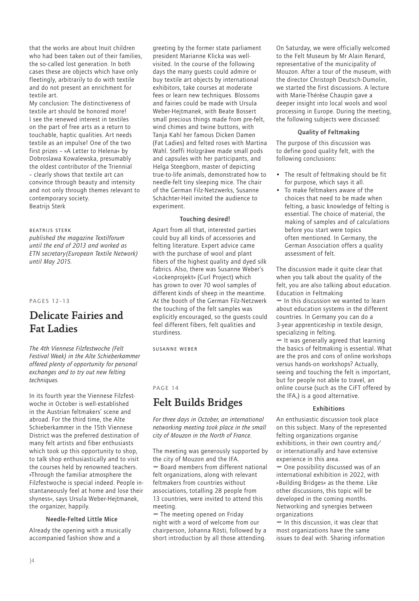that the works are about Inuit children who had been taken out of their families. the so-called lost generation. In both cases these are objects which have only fleetingly, arbitrarily to do with textile and do not present an enrichment for textile art.

My conclusion: The distinctiveness of textile art should be honored more! I see the renewed interest in textiles on the part of free arts as a return to touchable, haptic qualities. Art needs textile as an impulse! One of the two first prizes – »A Letter to Helena« by Dobroslawa Kowalewska, presumably the oldest contributor of the Triennial – clearly shows that textile art can convince through beauty and intensity and not only through themes relevant to contemporary society. Beatrijs Sterk

#### Beatrijs Sterk

*published the magazine Textilforum until the end of 2013 and worked as ETN secretary(European Textile Network) until May 2015.*

PAGES 12–13

## Delicate Fairies and Fat Ladies

*The 4th Viennese Filzfestwoche (Felt Festival Week) in the Alte Schieberkammer offered plenty of opportunity for personal exchanges and to try out new felting techniques.*

In its fourth year the Viennese Filzfestwoche in October is well-established in the Austrian feltmakers' scene and abroad. For the third time, the Alte Schieberkammer in the 15th Viennese District was the preferred destination of many felt artists and fiber enthusiasts which took up this opportunity to shop, to talk shop enthusiastically and to visit the courses held by renowned teachers. »Through the familiar atmosphere the Filzfestwoche is special indeed. People instantaneously feel at home and lose their shyness«, says Ursula Weber-Hejtmanek, the organizer, happily.

#### Needle-Felted Little Mice

Already the opening with a musically accompanied fashion show and a

greeting by the former state parliament president Marianne Klicka was wellvisited. In the course of the following days the many guests could admire or buy textile art objects by international exhibitors, take courses at moderate fees or learn new techniques. Blossoms and fairies could be made with Ursula Weber-Hejtmanek, with Beate Bossert small precious things made from pre-felt, wind chimes and twine buttons, with Tanja Kahl her famous Dicken Damen (Fat Ladies) and felted roses with Martina Wahl. Steffi Holzgräwe made small pods and capsules with her participants, and Helga Steegborn, master of depicting true-to-life animals, demonstrated how to needle-felt tiny sleeping mice. The chair of the German Filz-Netzwerks, Susanne Schächter-Heil invited the audience to experiment.

#### Touching desired!

Apart from all that, interested parties could buy all kinds of accessories and felting literature. Expert advice came with the purchase of wool and plant fibers of the highest quality and dyed silk fabrics. Also, there was Susanne Weber's »Lockenprojekt« (Curl Project) which has grown to over 70 wool samples of different kinds of sheep in the meantime. At the booth of the German Filz-Netzwerk the touching of the felt samples was explicitly encouraged, so the guests could feel different fibers, felt qualities and sturdiness.

Susanne Weber

PAGE 14

## Felt Builds Bridges

*For three days in October, an international networking meeting took place in the small city of Mouzon in the North of France.* 

The meeting was generously supported by the city of Mouzon and the IFA. Ø Board members from different national felt organizations, along with relevant feltmakers from countries without associations, totalling 28 people from 13 countries, were invited to attend this meeting.

 $<sup>+</sup>$  The meeting opened on Friday</sup> night with a word of welcome from our chairperson, Johanna Rösti, followed by a short introduction by all those attending.

On Saturday, we were officially welcomed to the Felt Museum by Mr Alain Renard, representative of the municipality of Mouzon. After a tour of the museum, with the director Christoph Deutsch-Dumolin, we started the first discussions. A lecture with Marie-Thérèse Chaupin gave a deeper insight into local wools and wool processing in Europe. During the meeting, the following subjects were discussed:

#### Quality of Feltmaking

The purpose of this discussion was to define good quality felt, with the following conclusions:

- The result of feltmaking should be fit for purpose, which says it all.
- To make feltmakers aware of the choices that need to be made when felting, a basic knowledge of felting is essential. The choice of material, the making of samples and of calculations before you start were topics often mentioned. In Germany, the German Association offers a quality assessment of felt.

The discussion made it quite clear that when you talk about the quality of the felt, you are also talking about education. Education in Feltmaking Ø In this discussion we wanted to learn about education systems in the different countries. In Germany you can do a 3-year apprenticeship in textile design, specializing in felting.  $<sup>W</sup>$  It was generally agreed that learning</sup> the basics of feltmaking is essential. What are the pros and cons of online workshops versus hands-on workshops? Actually, seeing and touching the felt is important,

online course (such as the CiFT offered by the IFA,) is a good alternative.

but for people not able to travel, an

## Exhibitions

An enthusiastic discussion took place on this subject. Many of the represented felting organizations organise exhibitions, in their own country and/ or internationally and have extensive experience in this area.

Ø One possibility discussed was of an international exhibition in 2022, with »Building Bridges« as the theme. Like other discussions, this topic will be developed in the coming months. Networking and synergies between organizations

Ø In this discussion, it was clear that most organizations have the same issues to deal with. Sharing information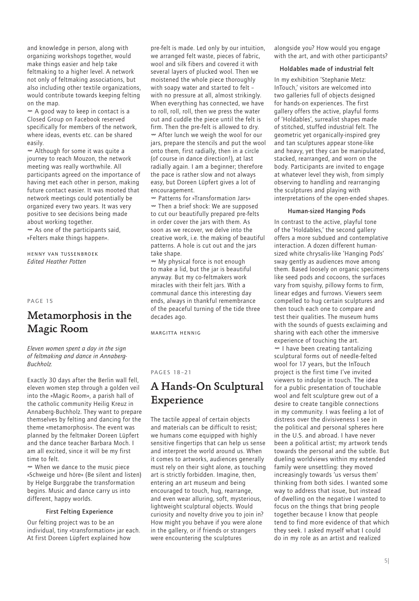and knowledge in person, along with organizing workshops together, would make things easier and help take feltmaking to a higher level. A network not only of feltmaking associations, but also including other textile organizations, would contribute towards keeping felting on the map.

Ø A good way to keep in contact is a Closed Group on Facebook reserved specifically for members of the network, where ideas, events etc. can be shared easily.

Ø Although for some it was quite a journey to reach Mouzon, the network meeting was really worthwhile. All participants agreed on the importance of having met each other in person, making future contact easier. It was mooted that network meetings could potentially be organized every two years. It was very positive to see decisions being made about working together.

 $<sub>w</sub>$  As one of the participants said,</sub> »Felters make things happen«.

Henny van Tussenbroek *Edited Heather Potten*

PAGE 15

## Metamorphosis in the Magic Room

*Eleven women spent a day in the sign of feltmaking and dance in Annaberg-Buchholz.*

Exactly 30 days after the Berlin wall fell, eleven women step through a golden veil into the »Magic Room«, a parish hall of the catholic community Heilig Kreuz in Annaberg-Buchholz. They want to prepare themselves by felting and dancing for the theme »metamorphosis«. The event was planned by the feltmaker Doreen Lüpfert and the dance teacher Barbara Moch. I am all excited, since it will be my first time to felt.

Ø When we dance to the music piece »Schweige und höre« (Be silent and listen) by Helge Burggrabe the transformation begins. Music and dance carry us into different, happy worlds.

## First Felting Experience

Our felting project was to be an individual, tiny »transformation« jar each. At first Doreen Lüpfert explained how

pre-felt is made. Led only by our intuition, we arranged felt waste, pieces of fabric, wool and silk fibers and covered it with several layers of plucked wool. Then we moistened the whole piece thoroughly with soapy water and started to felt – with no pressure at all, almost strikingly. When everything has connected, we have to roll, roll, roll, then we press the water out and cuddle the piece until the felt is firm. Then the pre-felt is allowed to dry. Ø After lunch we weigh the wool for our jars, prepare the stencils and put the wool onto them, first radially, then in a circle (of course in dance direction!), at last radially again. I am a beginner; therefore the pace is rather slow and not always easy, but Doreen Lüpfert gives a lot of encouragement.

Ø Patterns for »Transformation Jars« Ø Then a brief shock: We are supposed to cut our beautifully prepared pre-felts in order cover the jars with them. As soon as we recover, we delve into the creative work, i.e. the making of beautiful patterns. A hole is cut out and the jars take shape.

Ø My physical force is not enough to make a lid, but the jar is beautiful anyway. But my co-feltmakers work miracles with their felt jars. With a communal dance this interesting day ends, always in thankful remembrance of the peaceful turning of the tide three decades ago.

Margitta Hennig

#### PAGES 18–21

## A Hands-On Sculptural Experience

The tactile appeal of certain objects and materials can be difficult to resist; we humans come equipped with highly sensitive fingertips that can help us sense and interpret the world around us. When it comes to artworks, audiences generally must rely on their sight alone, as touching art is strictly forbidden. Imagine, then, entering an art museum and being encouraged to touch, hug, rearrange, and even wear alluring, soft, mysterious, lightweight sculptural objects. Would curiosity and novelty drive you to join in? How might you behave if you were alone in the gallery, or if friends or strangers were encountering the sculptures

alongside you? How would you engage with the art, and with other participants?

#### Holdables made of industrial felt

In my exhibition 'Stephanie Metz: InTouch,' visitors are welcomed into two galleries full of objects designed for hands-on experiences. The first gallery offers the active, playful forms of 'Holdables', surrealist shapes made of stitched, stuffed industrial felt. The geometric yet organically-inspired grey and tan sculptures appear stone-like and heavy, yet they can be manipulated, stacked, rearranged, and worn on the body. Participants are invited to engage at whatever level they wish, from simply observing to handling and rearranging the sculptures and playing with interpretations of the open-ended shapes.

#### Human-sized Hanging Pods

In contrast to the active, playful tone of the 'Holdables,' the second gallery offers a more subdued and contemplative interaction. A dozen different humansized white chrysalis-like 'Hanging Pods' sway gently as audiences move among them. Based loosely on organic specimens like seed pods and cocoons, the surfaces vary from squishy, pillowy forms to firm, linear edges and furrows. Viewers seem compelled to hug certain sculptures and then touch each one to compare and test their qualities. The museum hums with the sounds of guests exclaiming and sharing with each other the immersive experience of touching the art. Ø I have been creating tantalizing sculptural forms out of needle-felted wool for 17 years, but the InTouch project is the first time I've invited viewers to indulge in touch. The idea for a public presentation of touchable wool and felt sculpture grew out of a desire to create tangible connections in my community. I was feeling a lot of distress over the divisiveness I see in the political and personal spheres here in the U.S. and abroad. I have never been a political artist; my artwork tends towards the personal and the subtle. But dueling worldviews within my extended family were unsettling: they moved increasingly towards 'us versus them' thinking from both sides. I wanted some way to address that issue, but instead of dwelling on the negative I wanted to focus on the things that bring people together because I know that people tend to find more evidence of that which they seek. I asked myself what I could do in my role as an artist and realized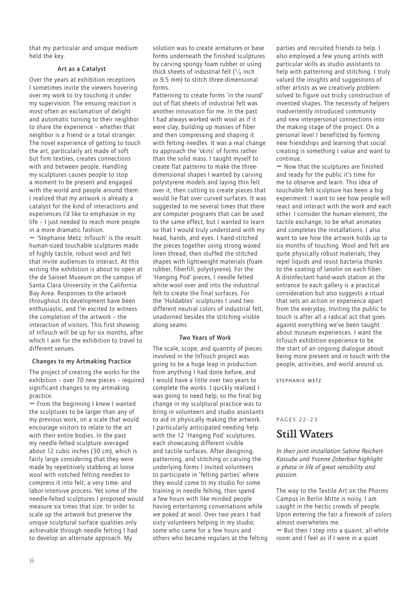that my particular and unique medium held the key.

## Art as a Catalyst

Over the years at exhibition receptions I sometimes invite the viewers hovering over my work to try touching it under my supervision. The ensuing reaction is most often an exclamation of delight and automatic turning to their neighbor to share the experience – whether that neighbor is a friend or a total stranger. The novel experience of getting to touch the art, particularly art made of soft but firm textiles, creates connections with and between people. Handling my sculptures causes people to stop a moment to be present and engaged with the world and people around them. I realized that my artwork is already a catalyst for the kind of interactions and experiences I'd like to emphasize in my life – I just needed to reach more people in a more dramatic fashion.

Ø 'Stephanie Metz: InTouch' is the result: human-sized touchable sculptures made of highly tactile, robust wool and felt that invite audiences to interact. At this writing the exhibition is about to open at the de Saisset Museum on the campus of Santa Clara University in the California Bay Area. Responses to the artwork throughout its development have been enthusiastic, and I'm excited to witness the completion of the artwork – the interaction of visitors. This first showing of InTouch will be up for six months, after which I aim for the exhibition to travel to different venues.

## Changes to my Artmaking Practice

The project of creating the works for the exhibition – over 70 new pieces – required significant changes to my artmaking practice.

Ø From the beginning I knew I wanted the sculptures to be larger than any of my previous work, on a scale that would encourage visitors to relate to the art with their entire bodies. In the past my needle-felted sculpture averaged about 12 cubic inches (30 cm), which is fairly large considering that they were made by repetitively stabbing at loose wool with notched felting needles to compress it into felt, a very time- and labor-intensive process. Yet some of the needle-felted sculptures I proposed would measure six times that size. In order to scale up the artwork but preserve the unique sculptural surface qualities only achievable through needle felting I had to develop an alternate approach. My

solution was to create armatures or base forms underneath the finished sculptures by carving spongy foam rubber or using thick sheets of industrial felt  $\binom{3}{8}$  inch or 9.5 mm) to stitch three-dimensional forms.

Patterning to create forms 'in the round' out of flat sheets of industrial felt was another innovation for me. In the past I had always worked with wool as if it were clay, building up masses of fiber and then compressing and shaping it with felting needles. It was a real change to approach the 'skins' of forms rather than the solid mass. I taught myself to create flat patterns to make the threedimensional shapes I wanted by carving polystyrene models and laying thin felt over it, then cutting to create pieces that would lie flat over curved surfaces. It was suggested to me several times that there are computer programs that can be used to the same effect, but I wanted to learn so that I would truly understand with my head, hands, and eyes. I hand-stitched the pieces together using strong waxed linen thread, then stuffed the stitched shapes with lightweight materials (foam rubber, fiberfill, polystyrene). For the 'Hanging Pod' pieces, I needle felted white wool over and into the industrial felt to create the final surfaces. For the 'Holdables' sculptures I used two different neutral colors of industrial felt, unadorned besides the stitching visible along seams.

## Two Years of Work

The scale, scope, and quantity of pieces involved in the InTouch project was going to be a huge leap in production from anything I had done before, and I would have a little over two years to complete the works. I quickly realized I was going to need help, so the final big change in my sculptural practice was to bring in volunteers and studio assistants to aid in physically making the artwork. I particularly anticipated needing help with the 12 'Hanging Pod' sculptures, each showcasing different visible and tactile surfaces. After designing, patterning, and stitching or carving the underlying forms I invited volunteers to participate in 'felting parties' where they would come to my studio for some training in needle felting, then spend a few hours with like-minded people having entertaining conversations while we poked at wool. Over two years I had sixty volunteers helping in my studio; some who came for a few hours and others who became regulars at the felting

parties and recruited friends to help. I also employed a few young artists with particular skills as studio assistants to help with patterning and stitching. I truly valued the insights and suggestions of other artists as we creatively problemsolved to figure out tricky construction of invented shapes. The necessity of helpers inadvertently introduced community and new interpersonal connections into the making stage of the project. On a personal level I benefitted by forming new friendships and learning that social creating is something I value and want to continue.

Ø Now that the sculptures are finished and ready for the public it's time for me to observe and learn. This idea of touchable felt sculpture has been a big experiment: I want to see how people will react and interact with the work and each other. I consider the human element, the tactile exchange, to be what animates and completes the installations. I also want to see how the artwork holds up to six months of touching. Wool and felt are quite physically robust materials; they repel liquids and resist bacteria thanks to the coating of lanolin on each fiber. A disinfectant hand-wash station at the entrance to each gallery is a practical consideration but also suggests a ritual that sets an action or experience apart from the everyday. Inviting the public to touch is after all a radical act that goes against everything we've been taught about museum experiences. I want the InTouch exhibition experience to be the start of an ongoing dialogue about being more present and in touch with the people, activities, and world around us.

Stephanie Metz

## PAGES 22–23

## Still Waters

*In their joint installation Sabine Reichert-Kassube und Yvonne Zoberbier highlight a phase in life of great sensibility and passion.*

The way to the Textile Art on the Phorms Campus in Berlin Mitte is noisy, I am caught in the hectic crowds of people. Upon entering the fair a firework of colors almost overwhelms me.

Ø But then I step into a quaint, all-white room and I feel as if I were in a quiet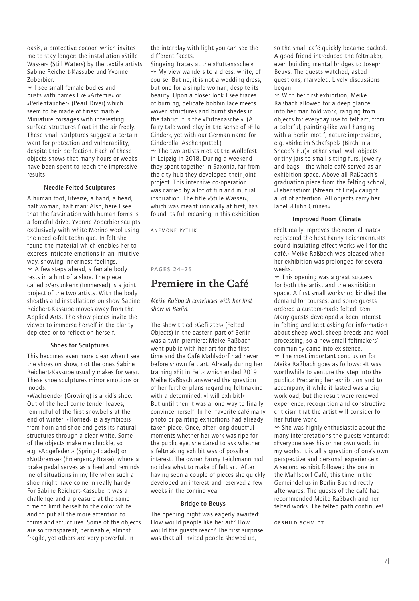oasis, a protective cocoon which invites me to stay longer: the installation »Stille Wasser« (Still Waters) by the textile artists Sabine Reichert-Kassube und Yvonne Zoberbier.

Ø I see small female bodies and busts with names like »Artemis« or »Perlentaucher« (Pearl Diver) which seem to be made of finest marble. Miniature corsages with interesting surface structures float in the air freely. These small sculptures suggest a certain want for protection and vulnerability, despite their perfection. Each of these objects shows that many hours or weeks have been spent to reach the impressive results.

### Needle-Felted Sculptures

A human foot, lifesize, a hand, a head, half woman, half man: Also, here I see that the fascination with human forms is a forceful drive. Yvonne Zoberbier sculpts exclusively with white Merino wool using the needle-felt technique. In felt she found the material which enables her to express intricate emotions in an intuitive way, showing innermost feelings. Ø A few steps ahead, a female body rests in a hint of a shoe. The piece called »Versunken« (Immersed) is a joint project of the two artists. With the body sheaths and installations on show Sabine Reichert-Kassube moves away from the Applied Arts. The show pieces invite the viewer to immerse herself in the clarity depicted or to reflect on herself.

### Shoes for Sculptures

This becomes even more clear when I see the shoes on show, not the ones Sabine Reichert-Kassube usually makes for wear. These shoe sculptures mirror emotions or moods.

»Wachsende« (Growing) is a kid's shoe. Out of the heel come tender leaves, remindful of the first snowbells at the end of winter. »Horned« is a symbiosis from horn and shoe and gets its natural structures through a clear white. Some of the objects make me chuckle, so e.g. »Abgefedert« (Spring-Loaded) or »Notbremse« (Emergency Brake), where a brake pedal serves as a heel and reminds me of situations in my life when such a shoe might have come in really handy. For Sabine Reichert-Kassube it was a challenge and a pleasure at the same time to limit herself to the color white and to put all the more attention to forms and structures. Some of the objects are so transparent, permeable, almost fragile, yet others are very powerful. In

the interplay with light you can see the different facets.

Singeing Traces at the »Puttenaschel« Ø My view wanders to a dress, white, of course. But no, it is not a wedding dress, but one for a simple woman, despite its beauty. Upon a closer look I see traces of burning, delicate bobbin lace meets woven structures and burnt shades in the fabric: it is the »Puttenaschel«. (A fairy tale word play in the sense of »Ella Cinder«, yet with our German name for Cinderella, Aschenputtel.) Ø The two artists met at the Wollefest in Leipzig in 2018. During a weekend they spent together in Saxonia, far from the city hub they developed their joint

project. This intensive co-operation was carried by a lot of fun and mutual inspiration. The title »Stille Wasser«, which was meant ironically at first, has found its full meaning in this exhibition.

Anemone Pytlik

## PAGES 24–25

## Premiere in the Café

## *Meike Raßbach convinces with her first show in Berlin.*

The show titled »Gefilztes« (Felted Objects) in the eastern part of Berlin was a twin premiere: Meike Raßbach went public with her art for the first time and the Café Mahlsdorf had never before shown felt art. Already during her training »Fit in Felt« which ended 2019 Meike Raßbach answered the question of her further plans regarding feltmaking with a determined: »I will exhibit!« But until then it was a long way to finally convince herself. In her favorite café many photo or painting exhibitions had already taken place. Once, after long doubtful moments whether her work was ripe for the public eye, she dared to ask whether a feltmaking exhibit was of possible interest. The owner Fanny Leichmann had no idea what to make of felt art. After having seen a couple of pieces she quickly developed an interest and reserved a few weeks in the coming year.

#### Bridge to Beuys

The opening night was eagerly awaited: How would people like her art? How would the guests react? The first surprise was that all invited people showed up,

so the small café quickly became packed. A good friend introduced the feltmaker, even building mental bridges to Joseph Beuys. The guests watched, asked questions, marveled. Lively discussions began.

Ø With her first exhibition, Meike Raßbach allowed for a deep glance into her manifold work, ranging from objects for everyday use to felt art, from a colorful, painting-like wall hanging with a Berlin motif, nature impressions, e.g. »Birke im Schafspelz (Birch in a Sheep's Fur)«, other small wall objects or tiny jars to small sitting furs, jewelry and bags – the whole café served as an exhibition space. Above all Raßbach's graduation piece from the felting school, »Lebensstrom (Stream of Life)« caught a lot of attention. All objects carry her label »Huhn Grünes«.

#### Improved Room Climate

»Felt really improves the room climate«, registered the host Fanny Leichmann.»Its sound-insulating effect works well for the café.« Meike Raßbach was pleased when her exhibition was prolonged for several weeks.

Ø This opening was a great success for both the artist and the exhibition space. A first small workshop kindled the demand for courses, and some guests ordered a custom-made felted item. Many guests developed a keen interest in felting and kept asking for information about sheep wool, sheep breeds and wool processing, so a new small feltmakers' community came into existence.

Ø The most important conclusion for Meike Raßbach goes as follows: »It was worthwhile to venture the step into the public.« Preparing her exhibition and to accompany it while it lasted was a big workload, but the result were renewed experience, recognition and constructive criticism that the artist will consider for her future work.

 $<sup>∞</sup>$  She was highly enthusiastic about the</sup> many interpretations the guests ventured: »Everyone sees his or her own world in my works. It is all a question of one's own perspective and personal experience.« A second exhibit followed the one in the Mahlsdorf Café, this time in the Gemeindehus in Berlin Buch directly afterwards: The guests of the café had recommended Meike Raßbach and her felted works. The felted path continues!

Gerhild Schmidt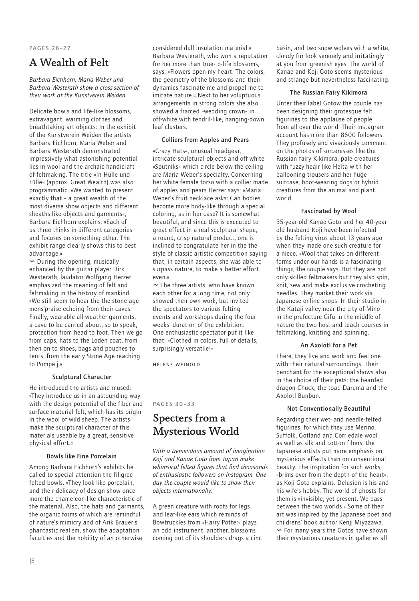### PAGES 26–27

## A Wealth of Felt

*Barbara Eichhorn, Maria Weber und Barbara Westerath show a cross-section of their work at the Kunstverein Weiden.*

Delicate bowls and life-like blossoms, extravagant, warming clothes and breathtaking art objects: In the exhibit of the Kunstverein Weiden the artists Barbara Eichhorn, Maria Weber and Barbara Westerath demonstrated impressively what astonishing potential lies in wool and the archaic handicraft of feltmaking. The title »In Hülle und Fülle« (approx. Great Wealth) was also programmatic. »We wanted to present exactly that – a great wealth of the most diverse show objects and different sheaths like objects and garments«, Barbara Eichhorn explains: »Each of us three thinks in different categories and focuses on something other. The exhibit range clearly shows this to best advantage.«

Ø During the opening, musically enhanced by the guitar player Dirk Westerath, laudator Wolfgang Herzer emphasized the meaning of felt and feltmaking in the history of mankind. »We still seem to hear the the stone age mens'praise echoing from their caves: Finally, wearable all-weather garments, a cave to be carried about, so to speak, protection from head to foot. Then we go from caps, hats to the Loden coat, from then on to shoes, bags and pouches to tents, from the early Stone Age reaching to Pompeij.«

## Sculptural Character

He introduced the artists and mused: »They introduce us in an astounding way with the design potential of the fiber and surface material felt, which has its origin in the wool of wild sheep. The artists make the sculptural character of this materials useable by a great, sensitive physical effort.«

#### Bowls like Fine Porcelain

Among Barbara Eichhorn's exhibits he called to special attention the filigree felted bowls. »They look like porcelain, and their delicacy of design show once more the chameleon-like characteristic of the material. Also, the hats and garments, the organic forms of which are remindful of nature's mimicry and of Arik Brauer's phantastic realism, show the adaptation faculties and the nobility of an otherwise

considered dull insulation material.« Barbara Westerath, who won a reputation for her more than true-to-life blossoms, says: »Flowers open my heart. The colors, the geometry of the blossoms and their dynamics fascinate me and propel me to imitate nature.« Next to her voluptuous arrangements in strong colors she also showed a framed »wedding crown« in off-white with tendril-like, hanging-down leaf clusters.

### Colliers from Apples and Pears

»Crazy Hats«, unusual headgear, intricate sculptural objects and off-white »Sputniks« which circle below the ceiling are Maria Weber's specialty. Concerning her white female torso with a collier made of apples and pears Herzer says: »Maria Weber's fruit necklace asks: Can bodies become more body-like through a special coloring, as in her case? It is somewhat beautiful, and since this is executed to great effect in a real sculptural shape, a round, crisp natural product, one is inclined to congratulate her in the the style of classic artistic competition saying that, in certain aspects, she was able to surpass nature, to make a better effort even.«

Ø The three artists, who have known each other for a long time, not only showed their own work, but invited the spectators to various felting events and workshops during the four weeks' duration of the exhibition. One enthusiastic spectator put it like that: »Clothed in colors, full of details, surprisingly versatile!«

Helene Weinold

#### PAGES 30–33

## Specters from a Mysterious World

*With a tremendous amount of imagination Koji and Kanae Goto from Japan make whimsical felted figures that find thousands of enthusiastic followers on Instagram. One day the couple would like to show their objects internationally.*

A green creature with roots for legs and leaf-like ears which reminds of Bowtruckles from »Harry Potter« plays an odd instrument, another, blossoms coming out of its shoulders drags a cinc

basin, and two snow wolves with a white, cloudy fur look serenely and irritatingly at you from greenish eyes: The world of Kanae and Koji Goto seems mysterious and strange but nevertheless fascinating.

## The Russian Fairy Kikimora

Unter their label Gotow the couple has been designing their grotesque felt figurines to the applause of people from all over the world: Their Instagram account has more than 8600 followers. They profusely and vivaciously comment on the photos of sorceresses like the Russian fairy Kikimora, pale creatures with fuzzy heair like Heita with her ballooning trousers and her huge suitcase, boot-wearing dogs or hybrid creatures from the animal and plant world.

#### Fascinated by Wool

35-year old Kanae Goto and her 40-year old husband Koji have been infected by the felting virus about 13 years ago when they made one such creature for a niece. »Wool that takes on different forms under our hands is a fascinating thing«, the couple says. But they are not only skilled feltmakers but they also spin, knit, sew and make exclusive crocheting needles. They market their work via Japanese online shops. In their studio in the Kataji valley near the city of Mino in the prefecture Gifu in the middle of nature the two host and teach courses in feltmaking, knitting and spinning.

#### An Axolotl for a Pet

There, they live and work and feel one with their natural surroundings. Their penchant for the exceptional shows also in the choice of their pets: the bearded dragon Chuck, the toad Daruma and the Axolotl Bunbun.

#### Not Conventionally Beautiful

Regarding their wet- and needle-felted figurines, for which they use Merino, Suffolk, Gotland and Corriedale wool as well as silk and cotton fibers, the Japanese artists put more emphasis on mysterious effects than on conventional beauty. The inspiration for such works, »brims over from the depth of the heart«, as Koji Goto explains. Delusion is his and his wife's hobby. The world of ghosts for them is »invisible, yet present. We pass between the two worlds.« Some of their art was inspired by the Japanese poet and childrens' book author Kenji Miyazawa. Ø For many years the Gotos have shown their mysterious creatures in galleries all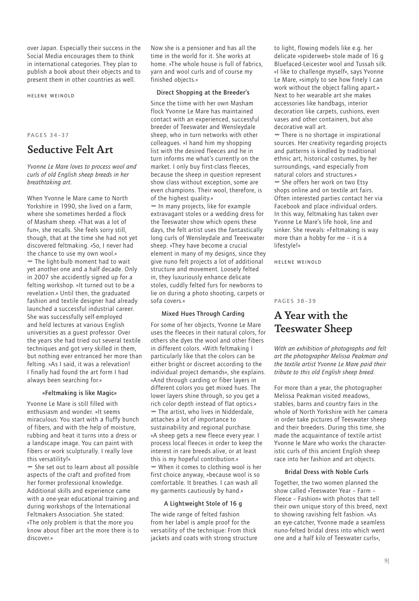over Japan. Especially their success in the Social Media encourages them to think in international categories. They plan to publish a book about their objects and to present them in other countries as well.

Helene Weinold

### PAGES 34–37

## Seductive Felt Art

*Yvonne Le Mare loves to process wool and curls of old English sheep breeds in her breathtaking art.*

When Yvonne le Mare came to North Yorkshire in 1990, she lived on a farm, where she sometimes herded a flock of Masham sheep. »That was a lot of fun«, she recalls. She feels sorry still, though, that at the time she had not yet discovered feltmaking. »So, I never had the chance to use my own wool.«  $\sim$  The light-bulb moment had to wait yet another one and a half decade. Only in 2007 she accidently signed up for a felting workshop. »It turned out to be a revelation.« Until then, the graduated fashion and textile designer had already launched a successful industrial career. She was successfully self-employed and held lectures at various English universities as a guest professor. Over the years she had tried out several textile techniques and got very skilled in them, but nothing ever entranced her more than felting. »As I said, it was a relevation! I finally had found the art form I had always been searching for.«

### »Feltmaking is like Magic«

Yvonne Le Mare is still filled with enthusiasm and wonder. »It seems miraculous: You start with a fluffy bunch of fibers, and with the help of moisture, rubbing and heat it turns into a dress or a landscape image. You can paint with fibers or work sculpturally. I really love this versatility!«

Ø She set out to learn about all possible aspects of the craft and profited from her former professional knowledge. Additional skills and experience came with a one-year educational training and during workshops of the International Feltmakers Association. She stated: »The only problem is that the more you know about fiber art the more there is to discover.«

Now she is a pensioner and has all the time in the world for it. She works at home. »The whole house is full of fabrics, yarn and wool curls and of course my finished objects.«

## Direct Shopping at the Breeder's

Since the tiime with her own Masham flock Yvonne Le Mare has maintained contact with an experienced, successful breeder of Teeswater and Wensleydale sheep, who in turn networks with other colleagues. »I hand him my shopping list with the desired fleeces and he in turn informs me what's currently on the market. I only buy first-class fleeces, because the sheep in question represent show class without exception, some are even champions. Their wool, therefore, is of the highest quality.« Ø In many projects, like for example extravagant stoles or a wedding dress for the Teeswater show which opens these days, the felt artist uses the fantastically long curls of Wensleydale and Teeeswater sheep. »They have become a crucial element in many of my designs, since they give nuno felt projects a lot of additional structure and movement. Loosely felted in, they luxuriously enhance delicate stoles, cuddly felted furs for newborns to lie on during a photo shooting, carpets or sofa covers.«

#### Mixed Hues Through Carding

For some of her objects, Yvonne Le Mare uses the fleeces in their natural colors, for others she dyes the wool and other fibers in different colors. »With feltmaking I particularly like that the colors can be either bright or discreet according to the individual project demands«, she explains. »And through carding or fiber layers in different colors you get mixed hues. The lower layers shine through, so you get a rich color depth instead of flat optics.« Ø The artist, who lives in Nidderdale, attaches a lot of importance to sustainability and regional purchase. »A sheep gets a new fleece every year. I process local fleeces in order to keep the interest in rare breeds alive, or at least this is my hopeful contribution.« Ø When it comes to clothing wool is her first choice anyway, »because wool is so comfortable. It breathes. I can wash all my garments cautiously by hand.«

#### A Lightweight Stole of 16 g

The wide range of felted fashion from her label is ample proof for the versatility of the technique: From thick jackets and coats with strong structure to light, flowing models like e.g. her delicate »spiderweb« stole made of 16 g Bluefaced-Leicester wool and Tussah silk. »I like to challenge myself«, says Yvonne Le Mare, »simply to see how finely I can work without the object falling apart.« Next to her wearable art she makes accessories like handbags, interior decoration like carpets, cushions, even vases and other containers, but also decorative wall art.

 $<sup>∞</sup>$  There is no shortage in inspirational</sup> sources. Her creativity regarding projects and patterns is kindled by traditional ethnic art, historical costumes, by her surroundings, »and especially from natural colors and structures.« Ø She offers her work on two Etsy shops online and on textile art fairs. Often interested parties contact her via Facebook and place individual orders. In this way, feltmaking has taken over Yvonne Le Mare's life hook, line and sinker. She reveals: »Feltmaking is way more than a hobby for me – it is a lifestyle!«

Helene Weinold

#### PAGES 38–39

## A Year with the Teeswater Sheep

*With an exhibition of photographs and felt art the photographer Melissa Peakman and the textile artist Yvonne Le Mare paid their tribute to this old English sheep breed.*

For more than a year, the photographer Melissa Peakman visited meadows, stables, barns and country fairs in the whole of North Yorkshire with her camera in order take pictures of Teeswater sheep and their breeders. During this time, she made the acquaintance of textile artist Yvonne le Mare who works the characteristic curls of this ancient English sheep race into her fashion and art objects.

#### Bridal Dress with Noble Curls

Together, the two women planned the show called »Teeswater Year – Farm – Fleece – Fashion« with photos that tell their own unique story of this breed, next to showing ravishing felt fashion. »As an eye-catcher, Yvonne made a seamless nuno-felted bridal dress into which went one and a half kilo of Teeswater curls«,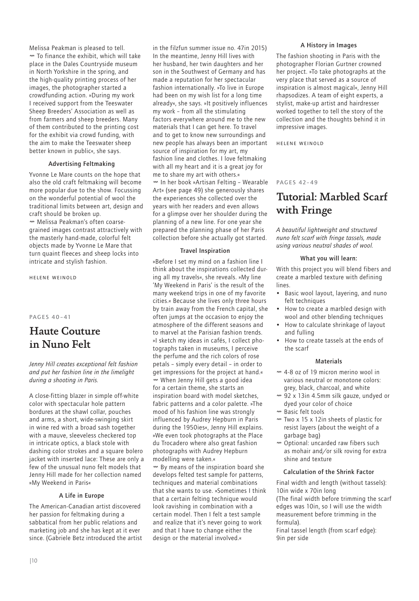Melissa Peakman is pleased to tell. Ø To finance the exhibit, which will take place in the Dales Countryside museum in North Yorkshire in the spring, and the high-quality printing process of her images, the photographer started a crowdfunding action. »During my work I received support from the Teeswater Sheep Breeders' Association as well as from farmers and sheep breeders. Many of them contributed to the printing cost for the exhibit via crowd funding, with the aim to make the Teeswater sheep better known in public«, she says.

### Advertising Feltmaking

Yvonne Le Mare counts on the hope that also the old craft feltmaking will become more popular due to the show. Focussing on the wonderful potential of wool the traditional limits between art, design and craft should be broken up. Ø Melissa Peakman's often coarsegrained images contrast attractively with the masterly hand-made, colorful felt objects made by Yvonne Le Mare that turn quaint fleeces and sheep locks into intricate and stylish fashion.

Helene Weinold

#### PAGES 40–41

## Haute Couture in Nuno Felt

*Jenny Hill creates exceptional felt fashion and put her fashion line in the limelight during a shooting in Paris.*

A close-fitting blazer in simple off-white color with spectacular hole pattern bordures at the shawl collar, pouches and arms, a short, wide-swinging skirt in wine red with a broad sash together with a mauve, sleeveless checkered top in intricate optics, a black stole with dashing color strokes and a square bolero jacket with inserted lace: These are only a few of the unusual nuno felt models that Jenny Hill made for her collection named »My Weekend in Paris«

#### A Life in Europe

The American-Canadian artist discovered her passion for feltmaking during a sabbatical from her public relations and marketing job and she has kept at it ever since. (Gabriele Betz introduced the artist in the filzfun summer issue no. 47in 2015) In the meantime, Jenny Hill lives with her husband, her twin daughters and her son in the Southwest of Germany and has made a reputation for her spectacular fashion internationally. »To live in Europe had been on my wish list for a long time already«, she says. »It positively influences my work – from all the stimulating factors everywhere around me to the new materials that I can get here. To travel and to get to know new surroundings and new people has always been an important source of inspiration for my art, my fashion line and clothes. I love feltmaking with all my heart and it is a great joy for me to share my art with others.« Ø In her book »Artisan Felting – Wearable Art« (see page 49) she generously shares the experiences she collected over the years with her readers and even allows for a glimpse over her shoulder during the planning of a new line. For one year she prepared the planning phase of her Paris collection before she actually got started.

#### Travel Inspiration

»Before I set my mind on a fashion line I think about the inspirations collected during all my travels«, she reveals. »My line 'My Weekend in Paris' is the result of the many weekend trips in one of my favorite cities.« Because she lives only three hours by train away from the French capital, she often jumps at the occasion to enjoy the atmosphere of the different seasons and to marvel at the Parisian fashion trends. »I sketch my ideas in cafés, I collect photographs taken in museums, I perceive the perfume and the rich colors of rose petals – simply every detail – in order to get impressions for the project at hand.« when Jenny Hill gets a good idea for a certain theme, she starts an inspiration board with model sketches, fabric patterns and a color palette. »The mood of his fashion line was strongly influenced by Audrey Hepburn in Paris during the 1950ies«, Jenny Hill explains. »We even took photographs at the Place du Trocadero where also great fashion photographs with Audrey Hepburn modelling were taken.« Ø By means of the inspiration board she develops felted test sample for patterns, techniques and material combinations that she wants to use. »Sometimes I think that a certain felting technique would look ravishing in combination with a certain model. Then I felt a test sample and realize that it's never going to work and that I have to change either the design or the material involved.«

### A History in Images

The fashion shooting in Paris with the photographer Florian Gurtner crowned her project. »To take photographs at the very place that served as a source of inspiration is almost magical«, Jenny Hill rhapsodizes. A team of eight experts, a stylist, make-up artist and hairdresser worked together to tell the story of the collection and the thoughts behind it in impressive images.

Helene Weinold

## PAGES 42–49

## Tutorial: Marbled Scarf with Fringe

*A beautiful lightweight and structured nuno felt scarf with fringe tassels, made using various neutral shades of wool.* 

#### What you will learn:

With this project you will blend fibers and create a marbled texture with defining lines.

- Basic wool layout, layering, and nuno felt techniques
- How to create a marbled design with wool and other blending techniques
- How to calculate shrinkage of layout and fulling
- How to create tassels at the ends of the scarf

### **Materials**

- Ø 4-8 oz of 19 micron merino wool in various neutral or monotone colors: grey, black, charcoal, and white
- Ø 92 x 13in 4.5mm silk gauze, undyed or dyed your color of choice
- w Rasic felt tools
- $\sim$  Two x 15 x 12in sheets of plastic for resist layers (about the weight of a garbage bag)
- Ø Optional: uncarded raw fibers such as mohair and/or silk roving for extra shine and texture

## Calculation of the Shrink Factor

Final width and length (without tassels): 10in wide x 70in long (The final width before trimming the scarf edges was 10in, so I will use the width measurement before trimming in the formula).

Final tassel length (from scarf edge): 9in per side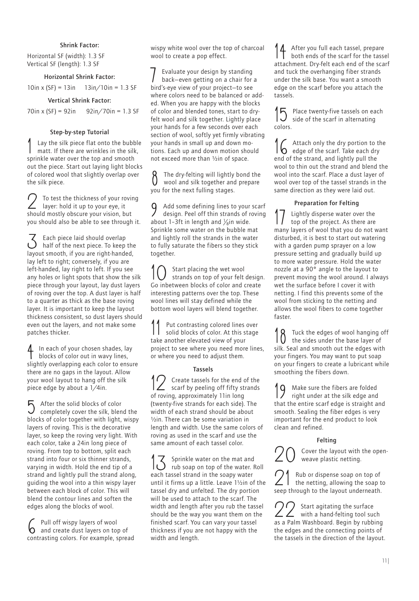### Shrink Factor:

Horizontal SF (width): 1.3 SF Vertical SF (length): 1.3 SF

## Horizontal Shrink Factor:

 $10in x (SF) = 13in 13in/10in = 1.3 SF$ 

### Vertical Shrink Factor:

70in x (SF) = 92in 92in/70in = 1.3 SF

#### Step-by-step Tutorial

Lay the silk piece flat onto the bubble matt. If there are wrinkles in the silk, sprinkle water over the top and smooth out the piece. Start out laying light blocks of colored wool that slightly overlap over the silk piece.

To test the thickness of your roving layer: hold it up to your eye, it should mostly obscure your vision, but you should also be able to see through it.

 $\sum$  Each piece laid should overlap half of the next piece. To keep the layout smooth, if you are right-handed, lay left to right; conversely, if you are left-handed, lay right to left. If you see any holes or light spots that show the silk piece through your layout, lay dust layers of roving over the top. A dust layer is half to a quarter as thick as the base roving layer. It is important to keep the layout thickness consistent, so dust layers should even out the layers, and not make some patches thicker.

4 In each of your chosen shades, lay blocks of color out in wavy lines, slightly overlapping each color to ensure there are no gaps in the layout. Allow your wool layout to hang off the silk piece edge by about a 1/4in.

5 After the solid blocks of color completely cover the silk, blend the blocks of color together with light, wispy layers of roving. This is the decorative layer, so keep the roving very light. With each color, take a 24in long piece of roving. From top to bottom, split each strand into four or six thinner strands, varying in width. Hold the end tip of a strand and lightly pull the strand along, guiding the wool into a thin wispy layer between each block of color. This will blend the contour lines and soften the edges along the blocks of wool.

6 Pull off wispy layers of wool and create dust layers on top of contrasting colors. For example, spread wispy white wool over the top of charcoal wool to create a pop effect.

7 Evaluate your design by standing back—even getting on a chair for a bird's-eye view of your project—to see where colors need to be balanced or added. When you are happy with the blocks of color and blended tones, start to dryfelt wool and silk together. Lightly place your hands for a few seconds over each section of wool, softly yet firmly vibrating your hands in small up and down motions. Each up and down motion should not exceed more than ½in of space.

8 The dry-felting will lightly bond the wool and silk together and prepare you for the next fulling stages.

9 Add some defining lines to your scarf design. Peel off thin strands of roving about 1-3ft in length and  $\frac{1}{8}$ in wide. Sprinkle some water on the bubble mat and lightly roll the strands in the water to fully saturate the fibers so they stick together.

10 Start placing the wet wool strands on top of your felt design. Go inbetween blocks of color and create interesting patterns over the top. These wool lines will stay defined while the bottom wool layers will blend together.

11 Put contrasting colored lines over solid blocks of color. At this stage take another elevated view of your project to see where you need more lines, or where you need to adjust them.

### Tassels

12 Create tassels for the end of the scarf by peeling off fifty strands of roving, approximately 11in long (twenty-five strands for each side). The width of each strand should be about ½in. There can be some variation in length and width. Use the same colors of roving as used in the scarf and use the same amount of each tassel color.

**13** Sprinkle water on the mat and rub soap on top of the water. Roll each tassel strand in the soapy water until it firms up a little. Leave 1½in of the tassel dry and unfelted. The dry portion will be used to attach to the scarf. The width and length after you rub the tassel should be the way you want them on the finished scarf. You can vary your tassel thickness if you are not happy with the width and length.

14 After you full each tassel, prepare both ends of the scarf for the tassel attachment. Dry-felt each end of the scarf and tuck the overhanging fiber strands under the silk base. You want a smooth edge on the scarf before you attach the tassels.

Place twenty-five tassels on each side of the scarf in alternating colors.

Attach only the dry portion to the  $\overline{\mathbf{h}}$  edge of the scarf Take each dry edge of the scarf. Take each dry end of the strand, and lightly pull the wool to thin out the strand and blend the wool into the scarf. Place a dust layer of wool over top of the tassel strands in the same direction as they were laid out.

## Preparation for Felting

Lightly disperse water over the top of the project. As there are many layers of wool that you do not want disturbed, it is best to start out watering with a garden pump sprayer on a low pressure setting and gradually build up to more water pressure. Hold the water nozzle at a 90° angle to the layout to prevent moving the wool around. I always wet the surface before I cover it with netting. I find this prevents some of the wool from sticking to the netting and allows the wool fibers to come together faster.

18 Tuck the edges of wool hanging off the sides under the base layer of silk. Seal and smooth out the edges with your fingers. You may want to put soap on your fingers to create a lubricant while smoothing the fibers down.

19 Make sure the fibers are folded right under at the silk edge and that the entire scarf edge is straight and smooth. Sealing the fiber edges is very important for the end product to look clean and refined.

### Felting

Cover the layout with the openweave plastic netting.

21 Rub or dispense soap on top of the netting, allowing the soap to seep through to the layout underneath.

22 Start agitating the surface with a hand-felting tool such as a Palm Washboard. Begin by rubbing the edges and the connecting points of the tassels in the direction of the layout.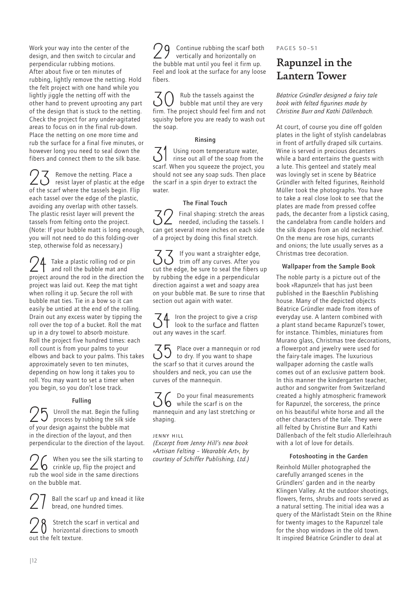Work your way into the center of the design, and then switch to circular and perpendicular rubbing motions. After about five or ten minutes of rubbing, lightly remove the netting. Hold the felt project with one hand while you lightly jiggle the netting off with the other hand to prevent uprooting any part of the design that is stuck to the netting. Check the project for any under-agitated areas to focus on in the final rub-down. Place the netting on one more time and rub the surface for a final five minutes, or however long you need to seal down the fibers and connect them to the silk base.

23 Remove the netting. Place a<br>
<u>CO</u> resist layer of plastic at the edge of the scarf where the tassels begin. Flip each tassel over the edge of the plastic, avoiding any overlap with other tassels. The plastic resist layer will prevent the tassels from felting onto the project. (Note: If your bubble matt is long enough, you will not need to do this folding-over step, otherwise fold as necessary.)

 $\bigcap$  Take a plastic rolling rod or pin and roll the bubble mat and project around the rod in the direction the project was laid out. Keep the mat tight when rolling it up. Secure the roll with bubble mat ties. Tie in a bow so it can easily be untied at the end of the rolling. Drain out any excess water by tipping the roll over the top of a bucket. Roll the mat up in a dry towel to absorb moisture. Roll the project five hundred times: each roll count is from your palms to your elbows and back to your palms. This takes approximately seven to ten minutes, depending on how long it takes you to roll. You may want to set a timer when you begin, so you don't lose track.

## Fulling

 $25$  Unroll the mat. Begin the fulling process by rubbing the silk side of your design against the bubble mat in the direction of the layout, and then perpendicular to the direction of the layout.

 $26$  When you see the silk starting to crinkle up, flip the project and rub the wool side in the same directions on the bubble mat.

Ball the scarf up and knead it like bread, one hundred times.

Stretch the scarf in vertical and horizontal directions to smooth out the felt texture.

Continue rubbing the scarf both vertically and horizontally on the bubble mat until you feel it firm up. Feel and look at the surface for any loose fibers.

 $\mathcal{S}$   $\mathcal{O}$  Rub the tassels against the bubble mat until they are very firm. The project should feel firm and not squishy before you are ready to wash out the soap.

## Rinsing

 $\mathcal{J}$  Using room temperature water,<br>rinse out all of the soap from the scarf. When you squeeze the project, you should not see any soap suds. Then place the scarf in a spin dryer to extract the water.

## The Final Touch

32 Final shaping: stretch the areas needed, including the tassels. I can get several more inches on each side of a project by doing this final stretch.

 $\mathcal{Z}$  If you want a straighter edge,<br> $\mathcal{Z}$  trim off any curves. After you cut the edge, be sure to seal the fibers up by rubbing the edge in a perpendicular direction against a wet and soapy area on your bubble mat. Be sure to rinse that section out again with water.

 $\overline{34}$  Iron the project to give a crisp look to the surface and flatten out any waves in the scarf.

 $\mathcal{S}_1$  Place over a mannequin or rod to dry. If you want to shape the scarf so that it curves around the shoulders and neck, you can use the curves of the mannequin.

 $\mathcal{Z}_6$  Do your final measurements<br>  $\mathcal{Z}_6$  while the scarf is on the mannequin and any last stretching or shaping.

## Jenny Hill

*(Excerpt from Jenny Hill's new book »Artisan Felting – Wearable Art«, by courtesy of Schiffer Publishing, Ltd.)* PAGES 50–51

## Rapunzel in the Lantern Tower

*Béatrice Gründler designed a fairy tale book with felted figurines made by Christine Burr and Kathi Dällenbach.*

At court, of course you dine off golden plates in the light of stylish candelabras in front of artfully draped silk curtains. Wine is served in precious decanters while a bard entertains the guests with a lute. This genteel and stately meal was lovingly set in scene by Béatrice Gründler with felted figurines, Reinhold Müller took the photographs. You have to take a real close look to see that the plates are made from pressed coffee pads, the decanter from a lipstick casing, the candelabra from candle holders and the silk drapes from an old neckerchief. On the menu are rose hips, currants and onions; the lute usually serves as a Christmas tree decoration.

## Wallpaper from the Sample Book

The noble party is a picture out of the book »Rapunzel« that has just been published in the Baeschlin Publishing house. Many of the depicted objects Béatrice Gründler made from items of everyday use. A lantern combined with a plant stand became Rapunzel's tower, for instance. Thimbles, miniatures from Murano glass, Christmas tree decorations, a flowerpot and jewelry were used for the fairy-tale images. The luxurious wallpaper adorning the castle walls comes out of an exclusive pattern book. In this manner the kindergarten teacher, author and songwriter from Switzerland created a highly atmospheric framework for Rapunzel, the sorceress, the prince on his beautiful white horse and all the other characters of the tale. They were all felted by Christine Burr and Kathi Dällenbach of the felt studio Allerleihrauh with a lot of love for details.

## Fotoshooting in the Garden

Reinhold Müller photographed the carefully arranged scenes in the Gründlers' garden and in the nearby Klingen Valley. At the outdoor shootings, flowers, ferns, shrubs and roots served as a natural setting. The initial idea was a query of the Märlistadt Stein on the Rhine for twenty images to the Rapunzel tale for the shop windows in the old town. It inspired Béatrice Gründler to deal at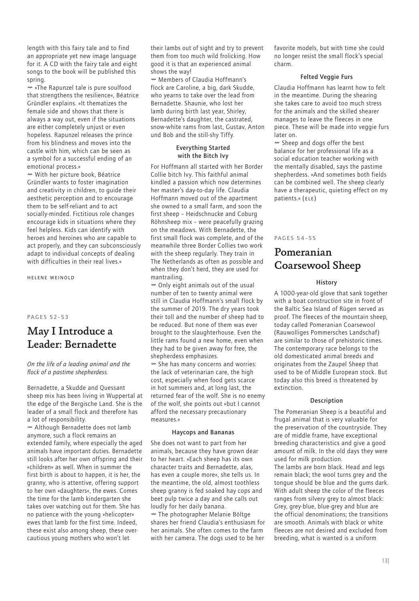length with this fairy tale and to find an appropriate yet new image language for it. A CD with the fairy tale and eight songs to the book will be published this spring.

Ø »The Rapunzel tale is pure soulfood that strengthens the resilience«, Béatrice Gründler explains. »It thematizes the female side and shows that there is always a way out, even if the situations are either completely unjust or even hopeless. Rapunzel releases the prince from his blindness and moves into the castle with him, which can be seen as a symbol for a successful ending of an emotional process.«

Ø With her picture book, Béatrice Gründler wants to foster imagination and creativity in children, to guide their aesthetic perception and to encourage them to be self-reliant and to act socially-minded. Fictitious role changes encourage kids in situations where they feel helpless. Kids can identify with heroes and heroines who are capable to act properly, and they can subconsciously adapt to individual concepts of dealing with difficulties in their real lives.«

Helene Weinold

PAGES 52–53

## May I Introduce a Leader: Bernadette

### *On the life of a leading animal and the flock of a pastime shepherdess.*

Bernadette, a Skudde and Quessant sheep mix has been living in Wuppertal at the edge of the Bergische Land. She is the leader of a small flock and therefore has a lot of responsibility.

Ø Although Bernadette does not lamb anymore, such a flock remains an extended family, where especially the aged animals have important duties. Bernadette still looks after her own offspring and their »children« as well. When in summer the first birth is about to happen, it is her, the granny, who is attentive, offering support to her own »daughters«, the ewes. Comes the time for the lamb kindergarten she takes over watching out for them. She has no patience with the young »helicopter« ewes that lamb for the first time. Indeed, these exist also among sheep, these overcautious young mothers who won't let

their lambs out of sight and try to prevent them from too much wild frolicking. How good it is that an experienced animal shows the way!

Ø Members of Claudia Hoffmann's flock are Caroline, a big, dark Skudde, who yearns to take over the lead from Bernadette. Shaunie, who lost her lamb during birth last year, Shirley, Bernadette's daughter, the castrated, snow-white rams from last, Gustav, Anton und Bob and the still-shy Tiffy.

## Everything Started with the Bitch Ivy

For Hoffmann all started with her Border Collie bitch Ivy. This faithful animal kindled a passion which now determines her master's day-to-day life. Claudia Hoffmann moved out of the apartment she owned to a small farm, and soon the first sheep – Heidschnucke and Coburg Röhnsheep mix – were peacefully grazing on the meadows. With Bernadette, the first small flock was complete, and of the meanwhile three Border Collies two work with the sheep regularly. They train in The Netherlands as often as possible and when they don't herd, they are used for mantrailing.

 $\sim$  Only eight animals out of the usual number of ten to twenty animal were still in Claudia Hoffmann's small flock by the summer of 2019. The dry years took their toll and the number of sheep had to be reduced. But none of them was ever brought to the slaughterhouse. Even the little rams found a new home, even when they had to be given away for free, the shepherdess emphasizes.

Ø She has many concerns and worries: the lack of veterinarian care, the high cost, especially when food gets scarce in hot summers and, at long last, the returned fear of the wolf. She is no enemy of the wolf, she points out »but I cannot afford the necessary precautionary measures.«

#### Haycops and Bananas

She does not want to part from her animals, because they have grown dear to her heart. »Each sheep has its own character traits and Bernadette, alas, has even a couple more«, she tells us. In the meantime, the old, almost toothless sheep granny is fed soaked hay cops and beet pulp twice a day and she calls out loudly for her daily banana.

Ø The photographer Melanie Böltge shares her friend Claudia's enthusiasm for her animals. She often comes to the farm with her camera. The dogs used to be her

favorite models, but with time she could no longer resist the small flock's special charm.

#### Felted Veggie Furs

Claudia Hoffmann has learnt how to felt in the meantime. During the shearing she takes care to avoid too much stress for the animals and the skilled shearer manages to leave the fleeces in one piece. These will be made into veggie furs later on.

Ø Sheep and dogs offer the best balance for her professional life as a social education teacher working with the mentally disabled, says the pastime shepherdess. »And sometimes both fields can be combined well. The sheep clearly have a therapeutic, quieting effect on my patients.« (ELE)

## PAGES 54–55

## Pomeranian Coarsewool Sheep

#### History

A 1000-year-old glove that sank together with a boat construction site in front of the Baltic Sea Island of Rügen served as proof. The fleeces of the mountain sheep, today called Pomeranian Coarsewool (Rauwolliges Pommersches Landschaf) are similar to those of prehistoric times. The contemporary race belongs to the old domesticated animal breeds and originates from the Zaupel Sheep that used to be of Middle European stock. But today also this breed is threatened by extinction.

#### Description

The Pomeranian Sheep is a beautiful and frugal animal that is very valuable for the preservation of the countryside. They are of middle frame, have exceptional breeding characteristics and give a good amount of milk. In the old days they were used for milk production.

The lambs are born black. Head and legs remain black; the wool turns grey and the tongue should be blue and the gums dark. With adult sheep the color of the fleeces ranges from silvery grey to almost black: Grey, grey-blue, blue-grey and blue are the official denominations; the transitions are smooth. Animals with black or white fleeces are not desired and excluded from breeding, what is wanted is a uniform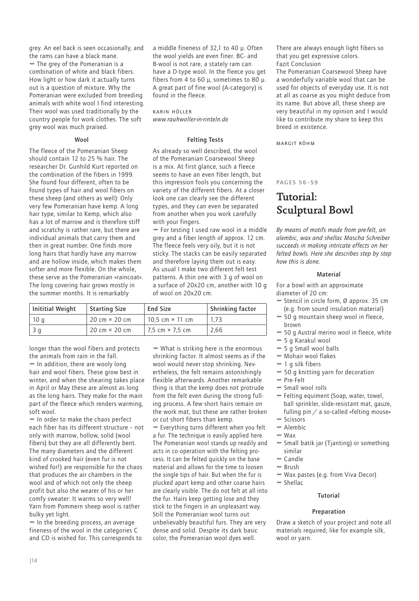grey. An eel back is seen occasionally, and the rams can have a black mane.  $<sup>∞</sup>$  The grey of the Pomeranian is a</sup> combination of white and black fibers. How light or how dark it actually turns out is a question of mixture. Why the Pomeranian were excluded from breeding animals with white wool I find interesting. Their wool was used traditionally by the country people for work clothes. The soft grey wool was much praised.

## Wool

The fleece of the Pomeranian Sheep should contain 12 to 25 % hair. The researcher Dr. Gunhild Kurt reported on the combination of the fibers in 1999. She found four different, often to be found types of hair and wool fibers on these sheep (and others as well): Only very few Pomeranian have kemp. A long hair type, similar to Kemp, which also has a lot of marrow and is therefore stiff and scratchy is rather rare, but there are individual animals that carry them and then in great number. One finds more long hairs that hardly have any marrow and are hollow inside, which makes them softer and more flexible. On the whole, these serve as the Pomeranian »raincoat«. The long covering hair grows mostly in the summer months. It is remarkably

a middle fineness of 32,1 to 40 μ. Often the wool yields are even finer. BC- and B-wool is not rare, a stately ram can have a D-type wool. In the fleece you get fibers from 4 to 60 μ, sometimes to 80 μ. A great part of fine wool (A-category) is found in the fleece.

#### Karin Höller

*www.rauhwoller-in-rinteln.de*

#### Felting Tests

As already so well described, the wool of the Pomeranian Coarsewool Sheep is a mix. At first glance, such a fleece seems to have an even fiber length, but this impression fools you concerning the variety of the different fibers. At a closer look one can clearly see the different types, and they can even be separated from another when you work carefully with your fingers.

Ø For testing I used raw wool in a middle grey and a fiber length of approx. 12 cm. The fleece feels very oily, but it is not sticky. The stacks can be easily separated and therefore laying them out is easy. As usual I make two different felt test patterns. A thin one with 3 g of wool on a surface of 20x20 cm, another with 10 g of wool on 20x20 cm.

| Inititial Weight | Starting Size        | End Size                                | Shrinking factor |
|------------------|----------------------|-----------------------------------------|------------------|
| 10 g             | 20 cm $\times$ 20 cm | 10.5 cm $\times$ 11 cm                  | 1.73             |
| 3 a              | 20 cm $\times$ 20 cm | $17.5 \text{ cm} \times 7.5 \text{ cm}$ | 2,66             |

longer than the wool fibers and protects the animals from rain in the fall. Ø In addition, there are wooly long hair and wool fibers. These grow best in winter, and when the shearing takes place in April or May these are almost as long as the long hairs. They make for the main part of the fleece which renders warming, soft wool.

Ø In order to make the chaos perfect each fiber has its different structure – not only with marrow, hollow, solid (wool fibers) but they are all differently bent. The many diameters and the different kind of crooked hair (even fur is not wished for!) are responsible for the chaos that produces the air chambers in the wool and of which not only the sheep profit but also the wearer of his or her comfy sweater: It warms so very well! Yarn from Pommern sheep wool is rather bulky yet light.

Ø In the breeding process, an average fineness of the wool in the categories C and CD is wished for. This corresponds to Ø What is striking here is the enormous shrinking factor. It almost seems as if the wool would never stop shrinking. Nevertheless, the felt remains astonishingly flexible afterwards. Another remarkable thing is that the kemp does not protrude from the felt even during the strong fulling process. A few short hairs remain on the work mat, but these are rather broken or cut short fibers than kemp. Ø Everything turns different when you felt

a fur. The technique is easily applied here. The Pomeranian wool stands up readily and acts in co-operation with the felting process. It can be felted quickly on the base material and allows for the time to loosen the single tips of hair. But when the fur is plucked apart kemp and other coarse hairs are clearly visible. The do not felt at all into the fur. Hairs keep getting lose and they stick to the fingers in an unpleasant way. Still the Pomeranian wool turns out unbelievably beautiful furs. They are very dense and solid. Despite its dark basic color, the Pomeranian wool dyes well.

There are always enough light fibers so that you get expressive colors. Fazit Conclusion

The Pomeranian Coarsewool Sheep have a wonderfully variable wool that can be used for objects of everyday use. It is not at all as coarse as you might deduce from its name. But above all, these sheep are very beautiful in my opinion and I would like to contribute my share to keep this breed in existence.

Margit Röhm

## PAGES 56–59

## Tutorial: Sculptural Bowl

*By means of motifs made from pre-felt, an alembic, wax and shellac Mascha Schreiber succeeds in making intricate effects on her felted bowls. Here she describes step by step how this is done.* 

#### **Material**

For a bowl with an approximate diameter of 20 cm:

- Ø Stencil in circle form, Ø approx. 35 cm (e.g. from sound insulation material)
- $\sim$  50 g mountain sheep wool in fleece. brown
- Ø 50 g Austral merino wool in fleece, white
- Ø 5 g Karakul wool
- $<sub>w</sub>$  5 g Small wool balls</sub>
- Ø Mohair wool flakes
- $M$  1 a silk fibers
- $\sim$  50 g knitting yarn for decoration
- Ø Pre-Felt
- Ø Small wool rolls
- Ø Felting equiment (Soap, water, towel, ball sprinkler, slide-resistant mat, gauze, fulling pin / a so-called »felting mouse«
- Ø Scissors
- w Alembic
- Ø Wax
- Ø Small batik jar (Tjanting) or something similar
- Ø Candle
- Ø Brush
- Ø Wax pastes (e.g. from Viva Decor)
- w Shellac

## Tutorial

## Preparation

Draw a sketch of your project and note all materials required, like for example silk, wool or yarn.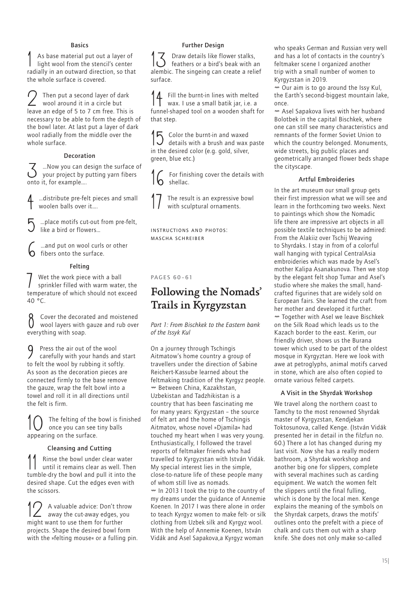### Basics

1 As base material put out a layer of light wool from the stencil's center radially in an outward direction, so that the whole surface is covered.

2 Then put a second layer of dark wool around it in a circle but leave an edge of 5 to 7 cm free. This is necessary to be able to form the depth of the bowl later. At last put a layer of dark wool radially from the middle over the whole surface.

## Decoration

... Now you can design the surface of your project by putting yarn fibers onto it, for example….

...distribute pre-felt pieces and small woolen balls over it….

... place motifs cut-out from pre-felt. like a bird or flowers…

 $\delta$  …and put on wool curls or other<br>bibers onto the surface. fibers onto the surface.

### Felting

Wet the work piece with a ball sprinkler filled with warm water, the temperature of which should not exceed  $40 °C$ .

8 Cover the decorated and moistened wool layers with gauze and rub over everything with soap.

9 Press the air out of the wool carefully with your hands and start to felt the wool by rubbing it softly. As soon as the decoration pieces are connected firmly to the base remove the gauze, wrap the felt bowl into a towel and roll it in all directions until the felt is firm.

The felting of the bowl is finished once you can see tiny balls appearing on the surface.

## Cleansing and Cutting

11 Rinse the bowl under clear water until it remains clear as well. Then tumble-dry the bowl and pull it into the desired shape. Cut the edges even with the scissors.

12 A valuable advice: Don't throw away the cut-away edges, you might want to use them for further projects. Shape the desired bowl form with the »felting mouse« or a fulling pin.

## Further Design

13 Draw details like flower stalks,<br>feathers or a bird's beak with an alembic. The singeing can create a relief surface.

14 Fill the burnt-in lines with melted wax. I use a small batik jar, i.e. a funnel-shaped tool on a wooden shaft for that step.

15 Color the burnt-in and waxed details with a brush and wax paste in the desired color (e.g. gold, silver, green, blue etc.)

For finishing cover the details with shellac.

The result is an expressive bowl with sculptural ornaments.

Instructions and photos: Mascha Schreiber

#### PAGES 60–61

## Following the Nomads' Trails in Kyrgyzstan

*Part 1: From Bischkek to the Eastern bank of the Issyk Kul*

On a journey through Tschingis Aitmatow's home country a group of travellers under the direction of Sabine Reichert-Kassube learned about the feltmaking tradition of the Kyrgyz people. Ø Between China, Kazakhstan, Uzbekistan and Tadzhikistan is a country that has been fascinating me for many years: Kyrgyzstan – the source of felt art and the home of Tschingis Aitmatov, whose novel »Djamila« had touched my heart when I was very young. Enthusiastically, I followed the travel reports of feltmaker friends who had travelled to Kyrgyzstan with István Vidák. My special interest lies in the simple, close-to-nature life of these people many of whom still live as nomads.

Ø In 2013 I took the trip to the country of my dreams under the guidance of Annemie Koenen. In 2017 I was there alone in order to teach Kyrgyz women to make felt- or silk clothing from Uzbek silk and Kyrgyz wool. With the help of Annemie Koenen, István Vidák and Asel Sapakova,a Kyrgyz woman

who speaks German and Russian very well and has a lot of contacts in the country's feltmaker scene I organized another trip with a small number of women to Kyrgyzstan in 2019.

Ø Our aim is to go around the Issy Kul, the Earth's second-biggest mountain lake, once.

Ø Asel Sapakova lives with her husband Bolotbek in the capital Bischkek, where one can still see many characteristics and remnants of the former Soviet Union to which the country belonged. Monuments, wide streets, big public places and geometrically arranged flower beds shape the cityscape.

### Artful Embroideries

In the art museum our small group gets their first impression what we will see and learn in the forthcoming two weeks. Next to paintings which show the Nomadic life there are impressive art objects in all possible textile techniques to be admired: From the Alakiiz over Tschij Weaving to Shyrdaks. I stay in from of a colorful wall hanging with typical CentralAsia embroideries which was made by Asel's mother Kalipa Asanakunova. Then we stop by the elegant felt shop Tumar and Asel's studio where she makes the small, handcrafted figurines that are widely sold on European fairs. She learned the craft from her mother and developed it further. Ø Together with Asel we leave Bischkek on the Silk Road which leads us to the Kazach border to the east. Kerim, our friendly driver, shows us the Burana tower which used to be part of the oldest mosque in Kyrgyztan. Here we look with awe at petroglyphs, animal motifs carved in stone, which are also often copied to ornate various felted carpets.

#### A Visit in the Shyrdak Workshop

We travel along the northern coast to Tamchy to the most renowned Shyrdak master of Kyrgyzstan, Kendjekan Toktosunova, called Kenge. (István Vidák presented her in detail in the filzfun no. 60.) There a lot has changed during my last visit. Now she has a really modern bathroom, a Shyrdak workshop and another big one for slippers, complete with several machines such as carding equipment. We watch the women felt the slippers until the final fulling, which is done by the local men. Kenge explains the meaning of the symbols on the Shyrdak carpets, draws the motifs' outlines onto the prefelt with a piece of chalk and cuts them out with a sharp knife. She does not only make so-called